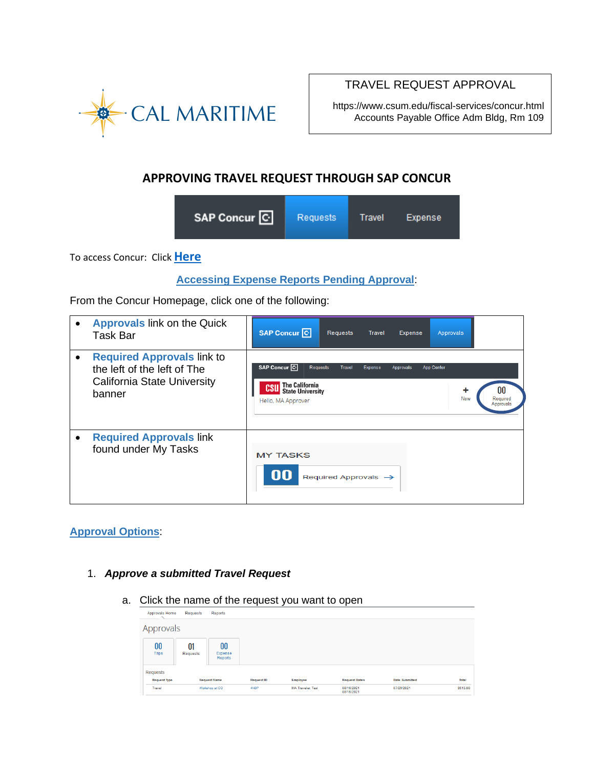

# TRAVEL REQUEST APPROVAL

https://www.csum.edu/fiscal-services/concur.html Accounts Payable Office Adm Bldg, Rm 109

# **APPROVING TRAVEL REQUEST THROUGH SAP CONCUR**

| SAP Concur <sup>C</sup> | <b>Requests</b> | Travel | Expense |  |
|-------------------------|-----------------|--------|---------|--|
|-------------------------|-----------------|--------|---------|--|

To access Concur: Click **[Here](https://ds.calstate.edu/?svc=concur&org=csum)**

## **Accessing Expense Reports Pending Approval**:

From the Concur Homepage, click one of the following:

| <b>Approvals link on the Quick</b><br>Task Bar                                                                   | SAP Concur <sup>C</sup><br><b>Requests</b><br><b>Travel</b><br>Approvals<br>Expense                                                                                                                                       |
|------------------------------------------------------------------------------------------------------------------|---------------------------------------------------------------------------------------------------------------------------------------------------------------------------------------------------------------------------|
| <b>Required Approvals link to</b><br>the left of the left of The<br><b>California State University</b><br>banner | SAP Concur <sup>C</sup><br><b>Requests</b><br><b>Travel</b><br>Expense<br>App Center<br>Approvals<br><b>The California</b><br>CSL<br><b>State University</b><br><b>New</b><br>Required<br>Hello, MA Approver<br>Approvals |
| <b>Required Approvals link</b><br>found under My Tasks                                                           | <b>MY TASKS</b><br>00<br>Required Approvals $\rightarrow$                                                                                                                                                                 |

## **Approval Options**:

- 1. *Approve a submitted Travel Request*
	- a. Click the name of the request you want to open

| Approvals Home                | Requests       | Reports                               |                           |                                      |                                    |                                     |                          |
|-------------------------------|----------------|---------------------------------------|---------------------------|--------------------------------------|------------------------------------|-------------------------------------|--------------------------|
| Approvals                     |                |                                       |                           |                                      |                                    |                                     |                          |
| 00<br><b>Trips</b>            | 01<br>Requests | 00<br>Expense<br>Reports              |                           |                                      |                                    |                                     |                          |
| Requests                      |                |                                       |                           |                                      |                                    |                                     |                          |
| <b>Request Type</b><br>Travel |                | <b>Request Name</b><br>Workshop at CO | <b>Request ID</b><br>4N6P | Employee<br><b>MA Traveler, Test</b> | <b>Request Dates</b><br>08/16/2021 | <b>Date Submitted</b><br>07/29/2021 | <b>Total</b><br>\$513.80 |
|                               |                |                                       |                           |                                      | 08/18/2021                         |                                     |                          |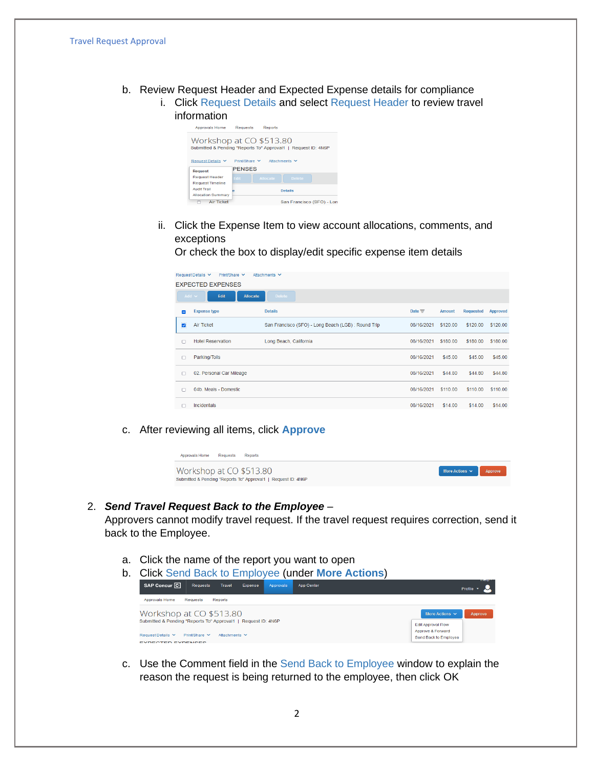- b. Review Request Header and Expected Expense details for compliance
	- i. Click Request Details and select Request Header to review travel information



ii. Click the Expense Item to view account allocations, comments, and exceptions

Or check the box to display/edit specific expense item details

|                         | Request Details ∨<br>Print/Share $\vee$<br>Attachments $\vee$ |                                                     |               |               |                  |          |  |  |
|-------------------------|---------------------------------------------------------------|-----------------------------------------------------|---------------|---------------|------------------|----------|--|--|
|                         | <b>EXPECTED EXPENSES</b>                                      |                                                     |               |               |                  |          |  |  |
|                         | Add $\sim$<br>Edit<br><b>Allocate</b>                         | <b>Delete</b>                                       |               |               |                  |          |  |  |
| Ξ                       | <b>Expense type</b>                                           | <b>Details</b>                                      | Date $\equiv$ | <b>Amount</b> | <b>Requested</b> | Approved |  |  |
| $\overline{\mathbf{z}}$ | <b>Air Ticket</b>                                             | San Francisco (SFO) - Long Beach (LGB) : Round Trip | 08/16/2021    | \$120.00      | \$120.00         | \$120.00 |  |  |
| $\Box$                  | <b>Hotel Reservation</b>                                      | Long Beach, California                              | 08/16/2021    | \$180.00      | \$180.00         | \$180.00 |  |  |
| □                       | Parking/Tolls                                                 |                                                     | 08/16/2021    | \$45.00       | \$45.00          | \$45.00  |  |  |
| n                       | 02. Personal Car Mileage                                      |                                                     | 08/16/2021    | \$44.80       | \$44.80          | \$44.80  |  |  |
| п                       | 04b. Meals - Domestic                                         |                                                     | 08/16/2021    | \$110.00      | \$110.00         | \$110.00 |  |  |
| п                       | Incidentals                                                   |                                                     | 08/16/2021    | \$14.00       | \$14.00          | \$14.00  |  |  |

c. After reviewing all items, click **Approve**

| Approvals Home          | Requests | Reports                                                       |                                    |  |
|-------------------------|----------|---------------------------------------------------------------|------------------------------------|--|
| Workshop at CO \$513.80 |          |                                                               | More Actions $\sim$ <b>Approve</b> |  |
|                         |          | Submitted & Pending "Reports To" Approval1   Request ID: 4N6P |                                    |  |

#### 2. *Send Travel Request Back to the Employee* –

Approvers cannot modify travel request. If the travel request requires correction, send it back to the Employee.

a. Click the name of the report you want to open

| b. |                                                                                    |                    |                    |         |           | <b>Click Send Back to Employee (under More Actions)</b> |                                                |                                       |
|----|------------------------------------------------------------------------------------|--------------------|--------------------|---------|-----------|---------------------------------------------------------|------------------------------------------------|---------------------------------------|
|    | SAP Concur <sup>C</sup>                                                            | <b>Requests</b>    | Travel             | Expense | Approvals | App Center                                              |                                                | <b>Tielp</b><br>Profile $\rightarrow$ |
|    | Approvals Home                                                                     | Requests           | Reports            |         |           |                                                         |                                                |                                       |
|    | Workshop at CO \$513.80<br>More Actions $\vee$                                     |                    |                    |         | Approve   |                                                         |                                                |                                       |
|    | Submitted & Pending "Reports To" Approval1   Request ID: 4N6P<br>Request Details V |                    | Attachments $\vee$ |         |           |                                                         | <b>Edit Approval Flow</b><br>Approve & Forward |                                       |
|    | EVOECTED EVOENICES                                                                 | Print/Share $\vee$ |                    |         |           |                                                         | <b>Send Back to Employee</b>                   |                                       |

c. Use the Comment field in the Send Back to Employee window to explain the reason the request is being returned to the employee, then click OK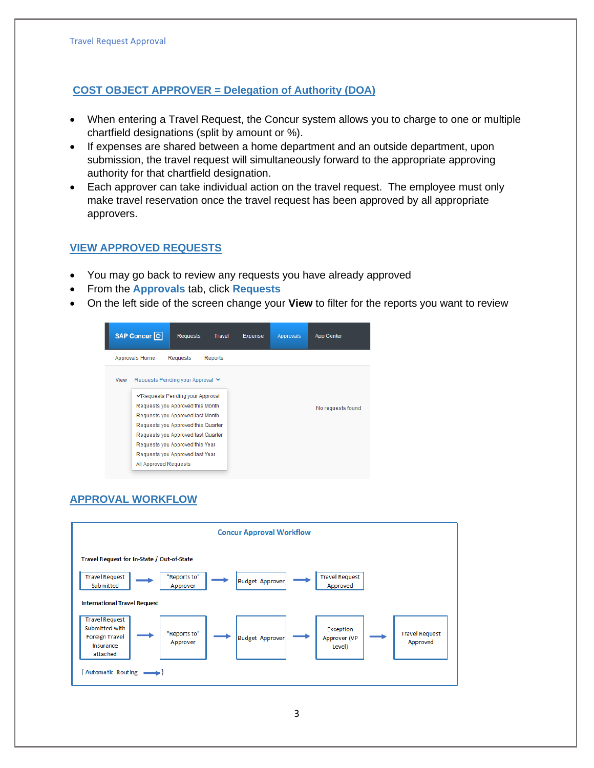## **COST OBJECT APPROVER = Delegation of Authority (DOA)**

- When entering a Travel Request, the Concur system allows you to charge to one or multiple chartfield designations (split by amount or %).
- If expenses are shared between a home department and an outside department, upon submission, the travel request will simultaneously forward to the appropriate approving authority for that chartfield designation.
- Each approver can take individual action on the travel request. The employee must only make travel reservation once the travel request has been approved by all appropriate approvers.

### **VIEW APPROVED REQUESTS**

- You may go back to review any requests you have already approved
- From the **Approvals** tab, click **Requests**
- On the left side of the screen change your **View** to filter for the reports you want to review



# **APPROVAL WORKFLOW**